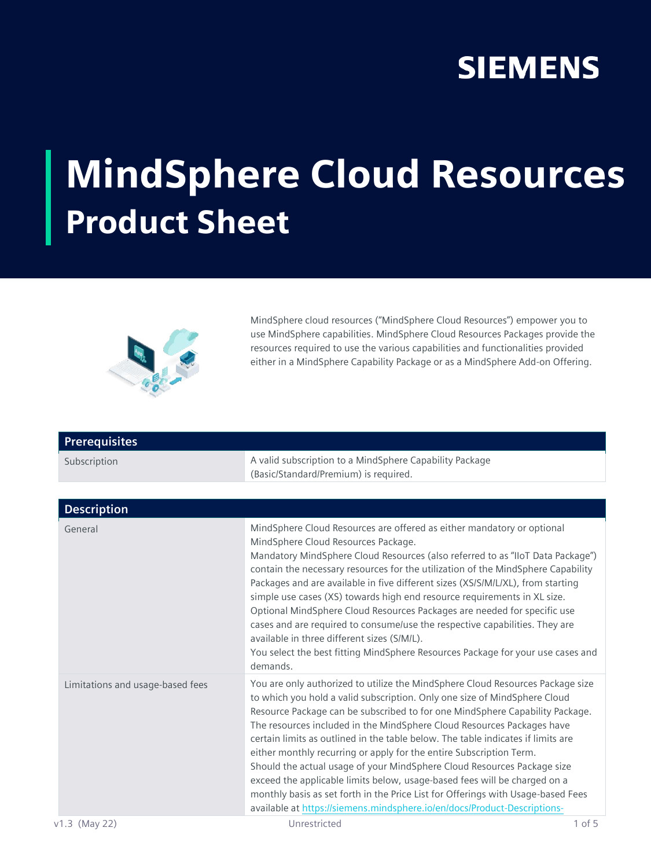## **SIEMENS**

## MindSphere Cloud Resources Product Sheet



MindSphere cloud resources ("MindSphere Cloud Resources") empower you to use MindSphere capabilities. MindSphere Cloud Resources Packages provide the resources required to use the various capabilities and functionalities provided either in a MindSphere Capability Package or as a MindSphere Add-on Offering.

| <b>Prerequisites</b>             |                                                                                                                                                                                                                                                                                                                                                                                                                                                                                                                                                                                                                                                                                                                                                                                                          |
|----------------------------------|----------------------------------------------------------------------------------------------------------------------------------------------------------------------------------------------------------------------------------------------------------------------------------------------------------------------------------------------------------------------------------------------------------------------------------------------------------------------------------------------------------------------------------------------------------------------------------------------------------------------------------------------------------------------------------------------------------------------------------------------------------------------------------------------------------|
| Subscription                     | A valid subscription to a MindSphere Capability Package<br>(Basic/Standard/Premium) is required.                                                                                                                                                                                                                                                                                                                                                                                                                                                                                                                                                                                                                                                                                                         |
|                                  |                                                                                                                                                                                                                                                                                                                                                                                                                                                                                                                                                                                                                                                                                                                                                                                                          |
| <b>Description</b>               |                                                                                                                                                                                                                                                                                                                                                                                                                                                                                                                                                                                                                                                                                                                                                                                                          |
| General                          | MindSphere Cloud Resources are offered as either mandatory or optional<br>MindSphere Cloud Resources Package.<br>Mandatory MindSphere Cloud Resources (also referred to as "IIoT Data Package")<br>contain the necessary resources for the utilization of the MindSphere Capability<br>Packages and are available in five different sizes (XS/S/M/L/XL), from starting<br>simple use cases (XS) towards high end resource requirements in XL size.<br>Optional MindSphere Cloud Resources Packages are needed for specific use<br>cases and are required to consume/use the respective capabilities. They are<br>available in three different sizes (S/M/L).<br>You select the best fitting MindSphere Resources Package for your use cases and<br>demands.                                              |
| Limitations and usage-based fees | You are only authorized to utilize the MindSphere Cloud Resources Package size<br>to which you hold a valid subscription. Only one size of MindSphere Cloud<br>Resource Package can be subscribed to for one MindSphere Capability Package.<br>The resources included in the MindSphere Cloud Resources Packages have<br>certain limits as outlined in the table below. The table indicates if limits are<br>either monthly recurring or apply for the entire Subscription Term.<br>Should the actual usage of your MindSphere Cloud Resources Package size<br>exceed the applicable limits below, usage-based fees will be charged on a<br>monthly basis as set forth in the Price List for Offerings with Usage-based Fees<br>available at https://siemens.mindsphere.io/en/docs/Product-Descriptions- |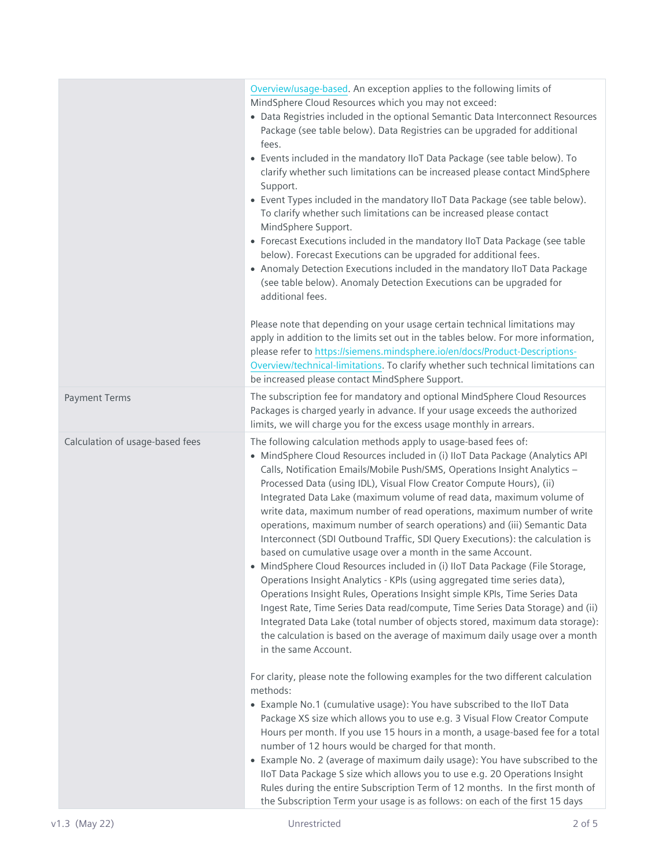|                                 | Overview/usage-based. An exception applies to the following limits of<br>MindSphere Cloud Resources which you may not exceed:<br>• Data Registries included in the optional Semantic Data Interconnect Resources<br>Package (see table below). Data Registries can be upgraded for additional<br>fees.<br>• Events included in the mandatory IIoT Data Package (see table below). To<br>clarify whether such limitations can be increased please contact MindSphere<br>Support.<br>• Event Types included in the mandatory IIoT Data Package (see table below).<br>To clarify whether such limitations can be increased please contact<br>MindSphere Support.<br>• Forecast Executions included in the mandatory IIoT Data Package (see table<br>below). Forecast Executions can be upgraded for additional fees.<br>• Anomaly Detection Executions included in the mandatory IIoT Data Package<br>(see table below). Anomaly Detection Executions can be upgraded for<br>additional fees.<br>Please note that depending on your usage certain technical limitations may<br>apply in addition to the limits set out in the tables below. For more information,<br>please refer to https://siemens.mindsphere.io/en/docs/Product-Descriptions-<br>Overview/technical-limitations. To clarify whether such technical limitations can<br>be increased please contact MindSphere Support.                                                                                                                                                                                                                                                                                                                                                                                                                                                                      |
|---------------------------------|------------------------------------------------------------------------------------------------------------------------------------------------------------------------------------------------------------------------------------------------------------------------------------------------------------------------------------------------------------------------------------------------------------------------------------------------------------------------------------------------------------------------------------------------------------------------------------------------------------------------------------------------------------------------------------------------------------------------------------------------------------------------------------------------------------------------------------------------------------------------------------------------------------------------------------------------------------------------------------------------------------------------------------------------------------------------------------------------------------------------------------------------------------------------------------------------------------------------------------------------------------------------------------------------------------------------------------------------------------------------------------------------------------------------------------------------------------------------------------------------------------------------------------------------------------------------------------------------------------------------------------------------------------------------------------------------------------------------------------------------------------------------------------------------------------------------------------------------------------|
| <b>Payment Terms</b>            | The subscription fee for mandatory and optional MindSphere Cloud Resources<br>Packages is charged yearly in advance. If your usage exceeds the authorized<br>limits, we will charge you for the excess usage monthly in arrears.                                                                                                                                                                                                                                                                                                                                                                                                                                                                                                                                                                                                                                                                                                                                                                                                                                                                                                                                                                                                                                                                                                                                                                                                                                                                                                                                                                                                                                                                                                                                                                                                                           |
| Calculation of usage-based fees | The following calculation methods apply to usage-based fees of:<br>· MindSphere Cloud Resources included in (i) IIoT Data Package (Analytics API<br>Calls, Notification Emails/Mobile Push/SMS, Operations Insight Analytics -<br>Processed Data (using IDL), Visual Flow Creator Compute Hours), (ii)<br>Integrated Data Lake (maximum volume of read data, maximum volume of<br>write data, maximum number of read operations, maximum number of write<br>operations, maximum number of search operations) and (iii) Semantic Data<br>Interconnect (SDI Outbound Traffic, SDI Query Executions): the calculation is<br>based on cumulative usage over a month in the same Account.<br>· MindSphere Cloud Resources included in (i) IloT Data Package (File Storage<br>Operations Insight Analytics - KPIs (using aggregated time series data),<br>Operations Insight Rules, Operations Insight simple KPIs, Time Series Data<br>Ingest Rate, Time Series Data read/compute, Time Series Data Storage) and (ii)<br>Integrated Data Lake (total number of objects stored, maximum data storage):<br>the calculation is based on the average of maximum daily usage over a month<br>in the same Account.<br>For clarity, please note the following examples for the two different calculation<br>methods:<br>• Example No.1 (cumulative usage): You have subscribed to the IloT Data<br>Package XS size which allows you to use e.g. 3 Visual Flow Creator Compute<br>Hours per month. If you use 15 hours in a month, a usage-based fee for a total<br>number of 12 hours would be charged for that month.<br>• Example No. 2 (average of maximum daily usage): You have subscribed to the<br>IIoT Data Package S size which allows you to use e.g. 20 Operations Insight<br>Rules during the entire Subscription Term of 12 months. In the first month of |
|                                 | the Subscription Term your usage is as follows: on each of the first 15 days                                                                                                                                                                                                                                                                                                                                                                                                                                                                                                                                                                                                                                                                                                                                                                                                                                                                                                                                                                                                                                                                                                                                                                                                                                                                                                                                                                                                                                                                                                                                                                                                                                                                                                                                                                               |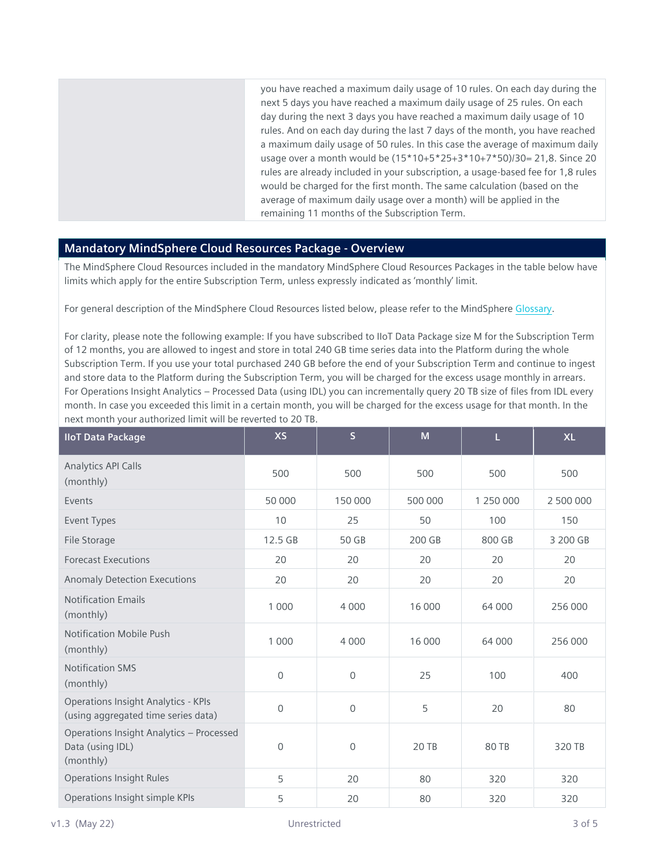you have reached a maximum daily usage of 10 rules. On each day during the next 5 days you have reached a maximum daily usage of 25 rules. On each day during the next 3 days you have reached a maximum daily usage of 10 rules. And on each day during the last 7 days of the month, you have reached a maximum daily usage of 50 rules. In this case the average of maximum daily usage over a month would be (15\*10+5\*25+3\*10+7\*50)/30= 21,8. Since 20 rules are already included in your subscription, a usage-based fee for 1,8 rules would be charged for the first month. The same calculation (based on the average of maximum daily usage over a month) will be applied in the remaining 11 months of the Subscription Term.

## **Mandatory MindSphere Cloud Resources Package - Overview**

The MindSphere Cloud Resources included in the mandatory MindSphere Cloud Resources Packages in the table below have limits which apply for the entire Subscription Term, unless expressly indicated as 'monthly' limit.

For general description of the MindSphere Cloud Resources listed below, please refer to the MindSpher[e Glossary](https://siemens.mindsphere.io/en/docs/Glossary.html).

For clarity, please note the following example: If you have subscribed to IIoT Data Package size M for the Subscription Term of 12 months, you are allowed to ingest and store in total 240 GB time series data into the Platform during the whole Subscription Term. If you use your total purchased 240 GB before the end of your Subscription Term and continue to ingest and store data to the Platform during the Subscription Term, you will be charged for the excess usage monthly in arrears. For Operations Insight Analytics – Processed Data (using IDL) you can incrementally query 20 TB size of files from IDL every month. In case you exceeded this limit in a certain month, you will be charged for the excess usage for that month. In the next month your authorized limit will be reverted to 20 TB.

| <b>IloT Data Package</b>                                                          | <b>XS</b>    | $\overline{\mathsf{S}}$ | M       | L         | <b>XL</b> |
|-----------------------------------------------------------------------------------|--------------|-------------------------|---------|-----------|-----------|
| <b>Analytics API Calls</b><br>(monthly)                                           | 500          | 500                     | 500     | 500       | 500       |
| Events                                                                            | 50 000       | 150 000                 | 500 000 | 1 250 000 | 2 500 000 |
| Event Types                                                                       | 10           | 25                      | 50      | 100       | 150       |
| File Storage                                                                      | 12.5 GB      | 50 GB                   | 200 GB  | 800 GB    | 3 200 GB  |
| <b>Forecast Executions</b>                                                        | 20           | 20                      | 20      | 20        | 20        |
| <b>Anomaly Detection Executions</b>                                               | 20           | 20                      | 20      | 20        | 20        |
| <b>Notification Emails</b><br>(monthly)                                           | 1 0 0 0      | 4 0 0 0                 | 16 000  | 64 000    | 256 000   |
| <b>Notification Mobile Push</b><br>(monthly)                                      | 1 0 0 0      | 4 0 0 0                 | 16 000  | 64 000    | 256 000   |
| <b>Notification SMS</b><br>(monthly)                                              | 0            | $\mathbf 0$             | 25      | 100       | 400       |
| <b>Operations Insight Analytics - KPIs</b><br>(using aggregated time series data) | $\mathsf{O}$ | $\mathbf{0}$            | 5       | 20        | 80        |
| Operations Insight Analytics - Processed<br>Data (using IDL)<br>(monthly)         | 0            | $\mathsf{O}\xspace$     | 20 TB   | 80 TB     | 320 TB    |
| <b>Operations Insight Rules</b>                                                   | 5            | 20                      | 80      | 320       | 320       |
| Operations Insight simple KPIs                                                    | 5            | 20                      | 80      | 320       | 320       |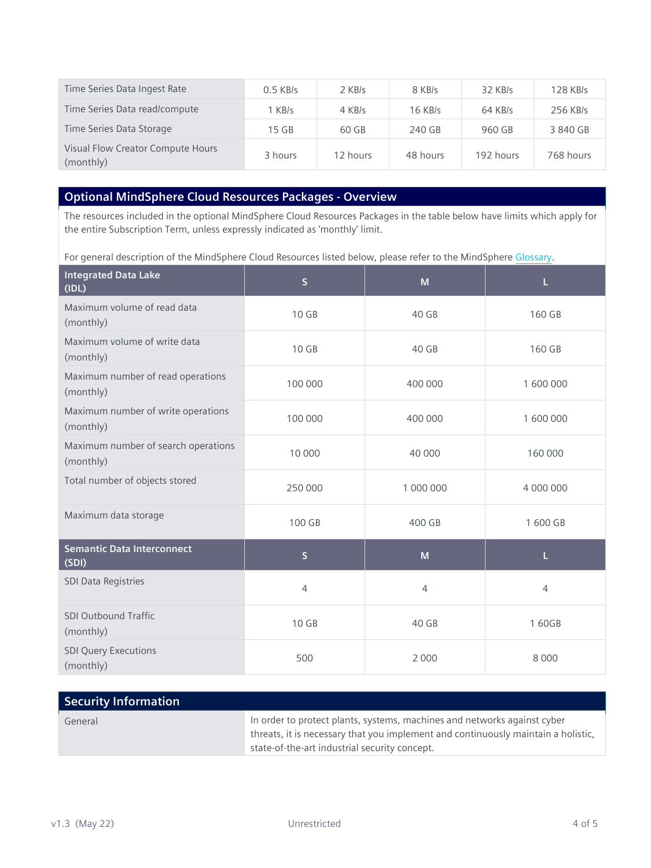| Time Series Data Ingest Rate                   | $0.5$ KB/s | 2 KB/s   | 8 KB/s    | $32$ KB/s | 128 KB/s  |
|------------------------------------------------|------------|----------|-----------|-----------|-----------|
| Time Series Data read/compute                  | 1 KB/s     | 4 KB/s   | $16$ KB/s | $64$ KB/s | 256 KB/s  |
| Time Series Data Storage                       | 15 GB      | 60 GB    | 240 GB    | 960 GB    | 3840 GB   |
| Visual Flow Creator Compute Hours<br>(monthly) | 3 hours    | 12 hours | 48 hours  | 192 hours | 768 hours |

## **Optional MindSphere Cloud Resources Packages - Overview**

The resources included in the optional MindSphere Cloud Resources Packages in the table below have limits which apply for the entire Subscription Term, unless expressly indicated as 'monthly' limit.

For general description of the MindSphere Cloud Resources listed below, please refer to the MindSpher[e Glossary](https://siemens.mindsphere.io/en/docs/Glossary.html).

| <b>Integrated Data Lake</b><br>(IDL)             | $\overline{\mathsf{S}}$<br>M |                | L              |  |
|--------------------------------------------------|------------------------------|----------------|----------------|--|
| Maximum volume of read data<br>(monthly)         | 10 GB                        | 40 GB          | 160 GB         |  |
| Maximum volume of write data<br>(monthly)        | 10 GB                        | 40 GB          | 160 GB         |  |
| Maximum number of read operations<br>(monthly)   | 100 000                      | 400 000        | 1 600 000      |  |
| Maximum number of write operations<br>(monthly)  | 100 000                      | 400 000        | 1 600 000      |  |
| Maximum number of search operations<br>(monthly) | 10 000                       | 40 000         | 160 000        |  |
| Total number of objects stored                   | 250 000                      | 1 000 000      | 4 000 000      |  |
| Maximum data storage                             | 100 GB                       | 400 GB         | 1 600 GB       |  |
| <b>Semantic Data Interconnect</b><br>(SDI)       | $\mathsf S$                  | M              | L              |  |
| <b>SDI Data Registries</b>                       | $\overline{4}$               | $\overline{4}$ | $\overline{4}$ |  |
| <b>SDI Outbound Traffic</b><br>(monthly)         | 10 GB                        | 40 GB          | 160GB          |  |
| <b>SDI Query Executions</b><br>(monthly)         | 500                          | 2 0 0 0        | 8 0 0 0        |  |

| Security Information |                                                                                                                                                                                                                |
|----------------------|----------------------------------------------------------------------------------------------------------------------------------------------------------------------------------------------------------------|
| General              | In order to protect plants, systems, machines and networks against cyber<br>threats, it is necessary that you implement and continuously maintain a holistic,<br>state-of-the-art industrial security concept. |